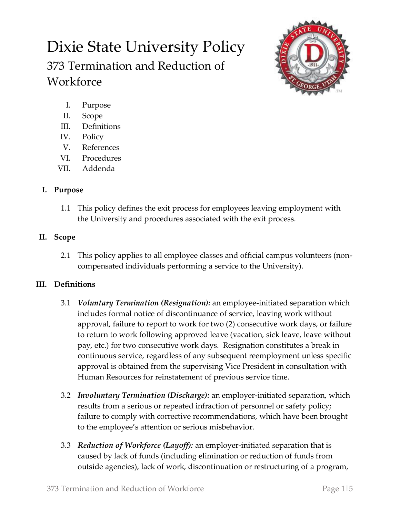# Dixie State University Policy

# 373 Termination and Reduction of **Workforce**



- I. Purpose
- II. Scope
- III. Definitions
- IV. Policy
- V. References
- VI. Procedures
- VII. Addenda

# **I. Purpose**

1.1 This policy defines the exit process for employees leaving employment with the University and procedures associated with the exit process.

## **II. Scope**

2.1 This policy applies to all employee classes and official campus volunteers (noncompensated individuals performing a service to the University).

### **III. Definitions**

- 3.1 *Voluntary Termination (Resignation):* an employee-initiated separation which includes formal notice of discontinuance of service, leaving work without approval, failure to report to work for two (2) consecutive work days, or failure to return to work following approved leave (vacation, sick leave, leave without pay, etc.) for two consecutive work days. Resignation constitutes a break in continuous service, regardless of any subsequent reemployment unless specific approval is obtained from the supervising Vice President in consultation with Human Resources for reinstatement of previous service time.
- 3.2 *Involuntary Termination (Discharge):* an employer-initiated separation, which results from a serious or repeated infraction of personnel or safety policy; failure to comply with corrective recommendations, which have been brought to the employee's attention or serious misbehavior.
- 3.3 *Reduction of Workforce (Layoff):* an employer-initiated separation that is caused by lack of funds (including elimination or reduction of funds from outside agencies), lack of work, discontinuation or restructuring of a program,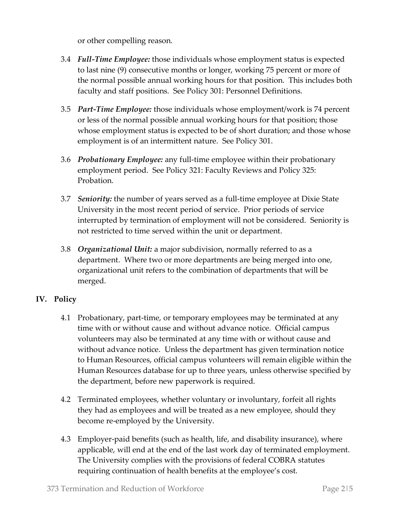or other compelling reason.

- 3.4 *Full-Time Employee:* those individuals whose employment status is expected to last nine (9) consecutive months or longer, working 75 percent or more of the normal possible annual working hours for that position. This includes both faculty and staff positions. See Policy 301: Personnel Definitions.
- 3.5 *Part-Time Employee:* those individuals whose employment/work is 74 percent or less of the normal possible annual working hours for that position; those whose employment status is expected to be of short duration; and those whose employment is of an intermittent nature. See Policy 301.
- 3.6 *Probationary Employee:* any full-time employee within their probationary employment period. See Policy 321: Faculty Reviews and Policy 325: Probation.
- 3.7 *Seniority:* the number of years served as a full-time employee at Dixie State University in the most recent period of service. Prior periods of service interrupted by termination of employment will not be considered. Seniority is not restricted to time served within the unit or department.
- 3.8 *Organizational Unit:* a major subdivision, normally referred to as a department. Where two or more departments are being merged into one, organizational unit refers to the combination of departments that will be merged.

### **IV. Policy**

- 4.1 Probationary, part-time, or temporary employees may be terminated at any time with or without cause and without advance notice. Official campus volunteers may also be terminated at any time with or without cause and without advance notice. Unless the department has given termination notice to Human Resources, official campus volunteers will remain eligible within the Human Resources database for up to three years, unless otherwise specified by the department, before new paperwork is required.
- 4.2 Terminated employees, whether voluntary or involuntary, forfeit all rights they had as employees and will be treated as a new employee, should they become re-employed by the University.
- 4.3 Employer-paid benefits (such as health, life, and disability insurance), where applicable, will end at the end of the last work day of terminated employment. The University complies with the provisions of federal COBRA statutes requiring continuation of health benefits at the employee's cost.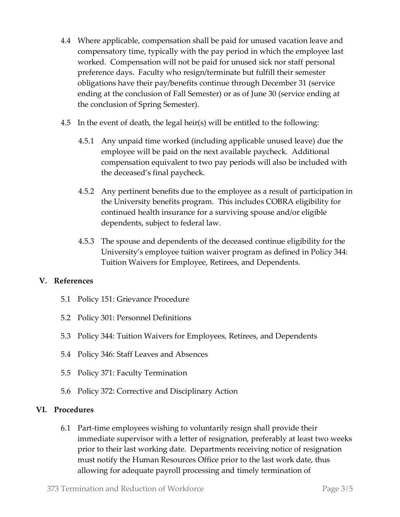- 4.4 Where applicable, compensation shall be paid for unused vacation leave and compensatory time, typically with the pay period in which the employee last worked. Compensation will not be paid for unused sick nor staff personal preference days. Faculty who resign/terminate but fulfill their semester obligations have their pay/benefits continue through December 31 (service ending at the conclusion of Fall Semester) or as of June 30 (service ending at the conclusion of Spring Semester).
- 4.5 In the event of death, the legal heir(s) will be entitled to the following:
	- 4.5.1 Any unpaid time worked (including applicable unused leave) due the employee will be paid on the next available paycheck. Additional compensation equivalent to two pay periods will also be included with the deceased's final paycheck.
	- 4.5.2 Any pertinent benefits due to the employee as a result of participation in the University benefits program. This includes COBRA eligibility for continued health insurance for a surviving spouse and/or eligible dependents, subject to federal law.
	- 4.5.3 The spouse and dependents of the deceased continue eligibility for the University's employee tuition waiver program as defined in Policy 344: Tuition Waivers for Employee, Retirees, and Dependents.

#### **V. References**

- 5.1 Policy 151: Grievance Procedure
- 5.2 Policy 301: Personnel Definitions
- 5.3 Policy 344: Tuition Waivers for Employees, Retirees, and Dependents
- 5.4 Policy 346: Staff Leaves and Absences
- 5.5 Policy 371: Faculty Termination
- 5.6 Policy 372: Corrective and Disciplinary Action

#### **VI. Procedures**

6.1 Part-time employees wishing to voluntarily resign shall provide their immediate supervisor with a letter of resignation, preferably at least two weeks prior to their last working date. Departments receiving notice of resignation must notify the Human Resources Office prior to the last work date, thus allowing for adequate payroll processing and timely termination of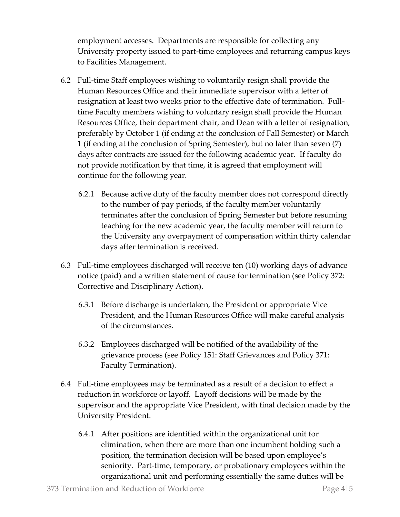employment accesses. Departments are responsible for collecting any University property issued to part-time employees and returning campus keys to Facilities Management.

- 6.2 Full-time Staff employees wishing to voluntarily resign shall provide the Human Resources Office and their immediate supervisor with a letter of resignation at least two weeks prior to the effective date of termination. Fulltime Faculty members wishing to voluntary resign shall provide the Human Resources Office, their department chair, and Dean with a letter of resignation, preferably by October 1 (if ending at the conclusion of Fall Semester) or March 1 (if ending at the conclusion of Spring Semester), but no later than seven (7) days after contracts are issued for the following academic year. If faculty do not provide notification by that time, it is agreed that employment will continue for the following year.
	- 6.2.1 Because active duty of the faculty member does not correspond directly to the number of pay periods, if the faculty member voluntarily terminates after the conclusion of Spring Semester but before resuming teaching for the new academic year, the faculty member will return to the University any overpayment of compensation within thirty calendar days after termination is received.
- 6.3 Full-time employees discharged will receive ten (10) working days of advance notice (paid) and a written statement of cause for termination (see Policy 372: Corrective and Disciplinary Action).
	- 6.3.1 Before discharge is undertaken, the President or appropriate Vice President, and the Human Resources Office will make careful analysis of the circumstances.
	- 6.3.2 Employees discharged will be notified of the availability of the grievance process (see Policy 151: Staff Grievances and Policy 371: Faculty Termination).
- 6.4 Full-time employees may be terminated as a result of a decision to effect a reduction in workforce or layoff. Layoff decisions will be made by the supervisor and the appropriate Vice President, with final decision made by the University President.
	- 6.4.1 After positions are identified within the organizational unit for elimination, when there are more than one incumbent holding such a position, the termination decision will be based upon employee's seniority. Part-time, temporary, or probationary employees within the organizational unit and performing essentially the same duties will be